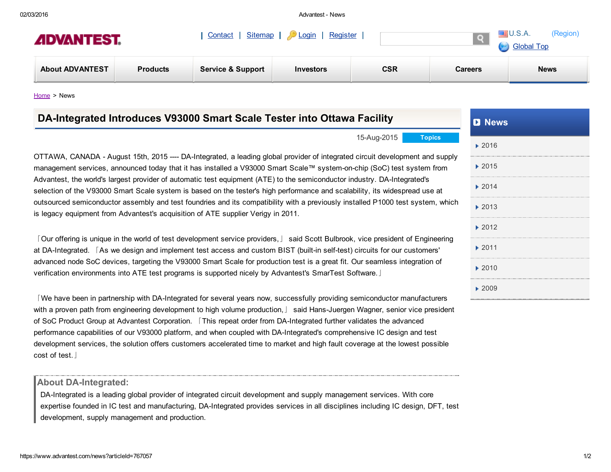02/03/2016 Advantest News

[Contact](https://www.advantest.com/web/advantest/contact) [Sitemap](https://www.advantest.com/web/advantest/sitemap) [Login](https://www.advantest.com/c/portal/login?p_l_id=11359) [Register](https://www.advantest.com/web/advantest/register) U.S.A.

## **ADVANTEST.**

| <b>CSR</b><br><b>About ADVANTEST</b><br><b>News</b><br><b>Service &amp; Support</b><br><b>Products</b><br><b>Careers</b><br><b>Investors</b> | <i>L</i> IDVAN I EJ I. |  | <b>Global Top</b> |  |  |  |
|----------------------------------------------------------------------------------------------------------------------------------------------|------------------------|--|-------------------|--|--|--|
|                                                                                                                                              |                        |  |                   |  |  |  |

[Home](https://www.advantest.com/) > News

| DA-Integrated Introduces V93000 Smart Scale Tester into Ottawa Facility                                                                                                                                                                                                                                                                                                                                                                                                                                                        | <b>D</b> News              |  |
|--------------------------------------------------------------------------------------------------------------------------------------------------------------------------------------------------------------------------------------------------------------------------------------------------------------------------------------------------------------------------------------------------------------------------------------------------------------------------------------------------------------------------------|----------------------------|--|
| 15-Aug-2015<br><b>Topics</b>                                                                                                                                                                                                                                                                                                                                                                                                                                                                                                   | ▶ 2016                     |  |
| OTTAWA, CANADA - August 15th, 2015 ---- DA-Integrated, a leading global provider of integrated circuit development and supply<br>management services, announced today that it has installed a V93000 Smart Scale™ system-on-chip (SoC) test system from                                                                                                                                                                                                                                                                        | $\blacktriangleright$ 2015 |  |
| Advantest, the world's largest provider of automatic test equipment (ATE) to the semiconductor industry. DA-Integrated's<br>selection of the V93000 Smart Scale system is based on the tester's high performance and scalability, its widespread use at                                                                                                                                                                                                                                                                        | 2014                       |  |
| outsourced semiconductor assembly and test foundries and its compatibility with a previously installed P1000 test system, which<br>is legacy equipment from Advantest's acquisition of ATE supplier Verigy in 2011.                                                                                                                                                                                                                                                                                                            | $\blacktriangleright$ 2013 |  |
|                                                                                                                                                                                                                                                                                                                                                                                                                                                                                                                                | $\blacktriangleright$ 2012 |  |
| [Our offering is unique in the world of test development service providers, J said Scott Bulbrook, vice president of Engineering<br>at DA-Integrated. [As we design and implement test access and custom BIST (built-in self-test) circuits for our customers'                                                                                                                                                                                                                                                                 | $\blacktriangleright$ 2011 |  |
| advanced node SoC devices, targeting the V93000 Smart Scale for production test is a great fit. Our seamless integration of<br>verification environments into ATE test programs is supported nicely by Advantest's SmarTest Software.                                                                                                                                                                                                                                                                                          | $\blacktriangleright$ 2010 |  |
| We have been in partnership with DA-Integrated for several years now, successfully providing semiconductor manufacturers                                                                                                                                                                                                                                                                                                                                                                                                       | ▶ 2009                     |  |
| with a proven path from engineering development to high volume production, Said Hans-Juergen Wagner, senior vice president<br>of SoC Product Group at Advantest Corporation. [This repeat order from DA-Integrated further validates the advanced<br>performance capabilities of our V93000 platform, and when coupled with DA-Integrated's comprehensive IC design and test<br>development services, the solution offers customers accelerated time to market and high fault coverage at the lowest possible<br>cost of test. |                            |  |
| <b>About DA-Integrated:</b>                                                                                                                                                                                                                                                                                                                                                                                                                                                                                                    |                            |  |

DA-Integrated is a leading global provider of integrated circuit development and supply management services. With core expertise founded in IC test and manufacturing, DA-Integrated provides services in all disciplines including IC design, DFT, test development, supply management and production.

(Region)